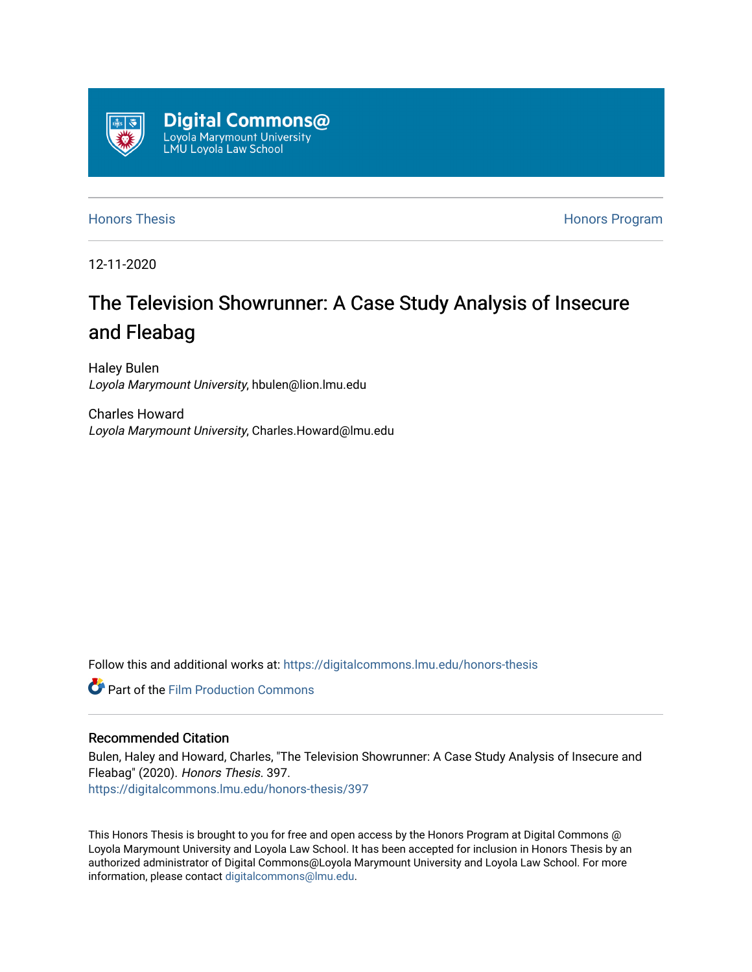

[Honors Thesis](https://digitalcommons.lmu.edu/honors-thesis) **Honors Honors** Program

12-11-2020

# The Television Showrunner: A Case Study Analysis of Insecure and Fleabag

Haley Bulen Loyola Marymount University, hbulen@lion.lmu.edu

Charles Howard Loyola Marymount University, Charles.Howard@lmu.edu

Follow this and additional works at: [https://digitalcommons.lmu.edu/honors-thesis](https://digitalcommons.lmu.edu/honors-thesis?utm_source=digitalcommons.lmu.edu%2Fhonors-thesis%2F397&utm_medium=PDF&utm_campaign=PDFCoverPages)

**C** Part of the Film Production Commons

# Recommended Citation

Bulen, Haley and Howard, Charles, "The Television Showrunner: A Case Study Analysis of Insecure and Fleabag" (2020). Honors Thesis. 397. [https://digitalcommons.lmu.edu/honors-thesis/397](https://digitalcommons.lmu.edu/honors-thesis/397?utm_source=digitalcommons.lmu.edu%2Fhonors-thesis%2F397&utm_medium=PDF&utm_campaign=PDFCoverPages) 

This Honors Thesis is brought to you for free and open access by the Honors Program at Digital Commons @ Loyola Marymount University and Loyola Law School. It has been accepted for inclusion in Honors Thesis by an authorized administrator of Digital Commons@Loyola Marymount University and Loyola Law School. For more information, please contact [digitalcommons@lmu.edu.](mailto:digitalcommons@lmu.edu)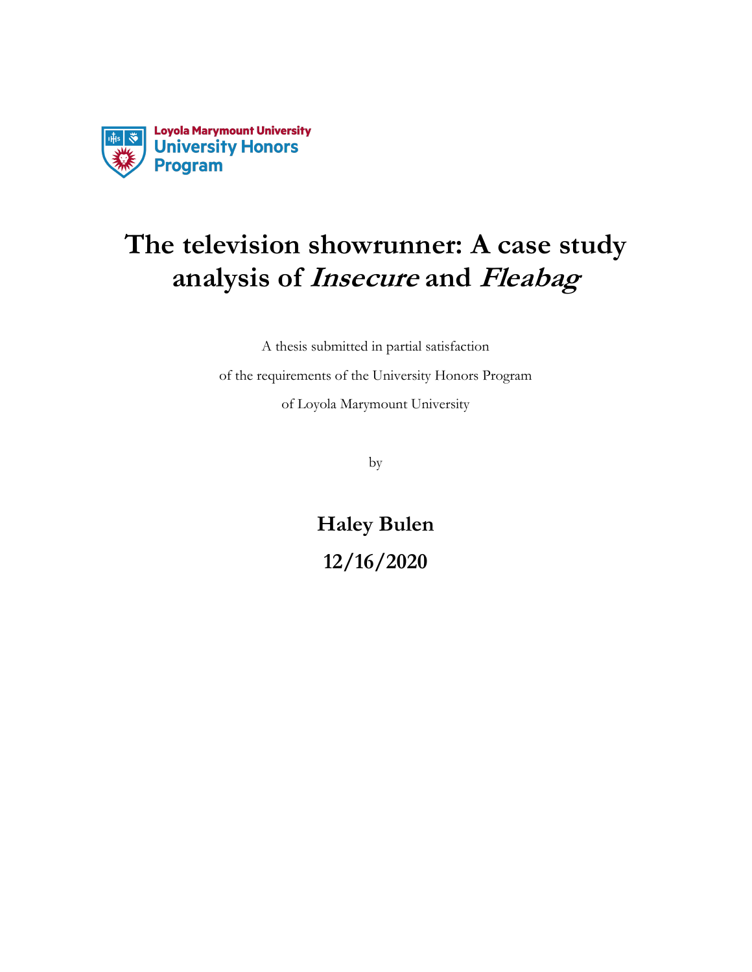

# **The television showrunner: A case study analysis of Insecure and Fleabag**

A thesis submitted in partial satisfaction

of the requirements of the University Honors Program of Loyola Marymount University

by

**Haley Bulen 12/16/2020**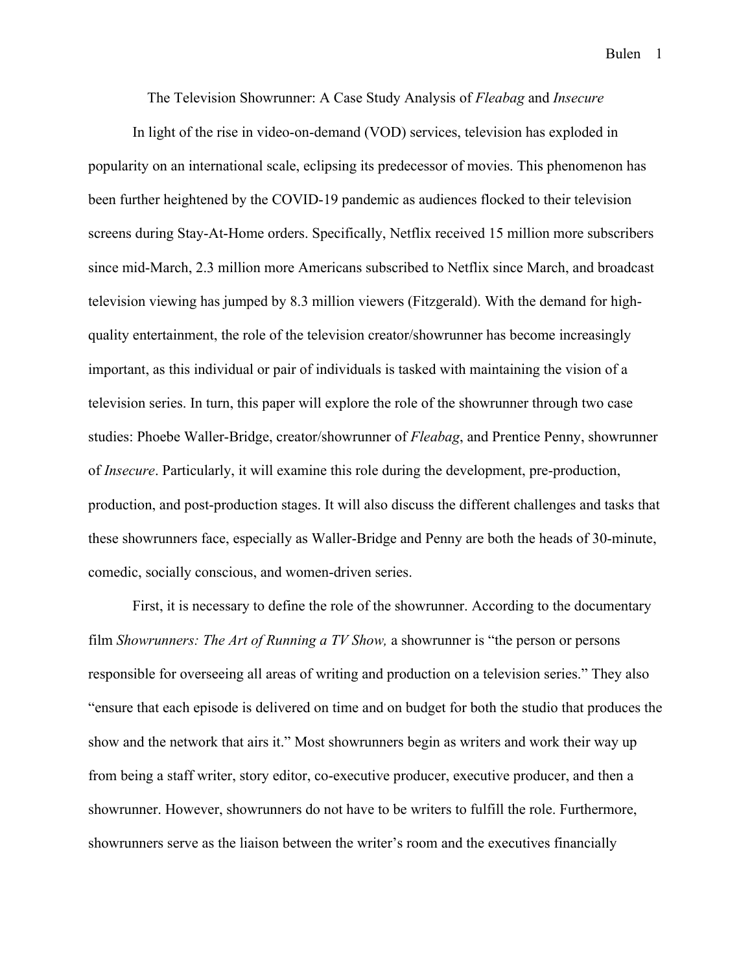The Television Showrunner: A Case Study Analysis of *Fleabag* and *Insecure*

In light of the rise in video-on-demand (VOD) services, television has exploded in popularity on an international scale, eclipsing its predecessor of movies. This phenomenon has been further heightened by the COVID-19 pandemic as audiences flocked to their television screens during Stay-At-Home orders. Specifically, Netflix received 15 million more subscribers since mid-March, 2.3 million more Americans subscribed to Netflix since March, and broadcast television viewing has jumped by 8.3 million viewers (Fitzgerald). With the demand for highquality entertainment, the role of the television creator/showrunner has become increasingly important, as this individual or pair of individuals is tasked with maintaining the vision of a television series. In turn, this paper will explore the role of the showrunner through two case studies: Phoebe Waller-Bridge, creator/showrunner of *Fleabag*, and Prentice Penny, showrunner of *Insecure*. Particularly, it will examine this role during the development, pre-production, production, and post-production stages. It will also discuss the different challenges and tasks that these showrunners face, especially as Waller-Bridge and Penny are both the heads of 30-minute, comedic, socially conscious, and women-driven series.

First, it is necessary to define the role of the showrunner. According to the documentary film *Showrunners: The Art of Running a TV Show,* a showrunner is "the person or persons responsible for overseeing all areas of writing and production on a television series." They also "ensure that each episode is delivered on time and on budget for both the studio that produces the show and the network that airs it." Most showrunners begin as writers and work their way up from being a staff writer, story editor, co-executive producer, executive producer, and then a showrunner. However, showrunners do not have to be writers to fulfill the role. Furthermore, showrunners serve as the liaison between the writer's room and the executives financially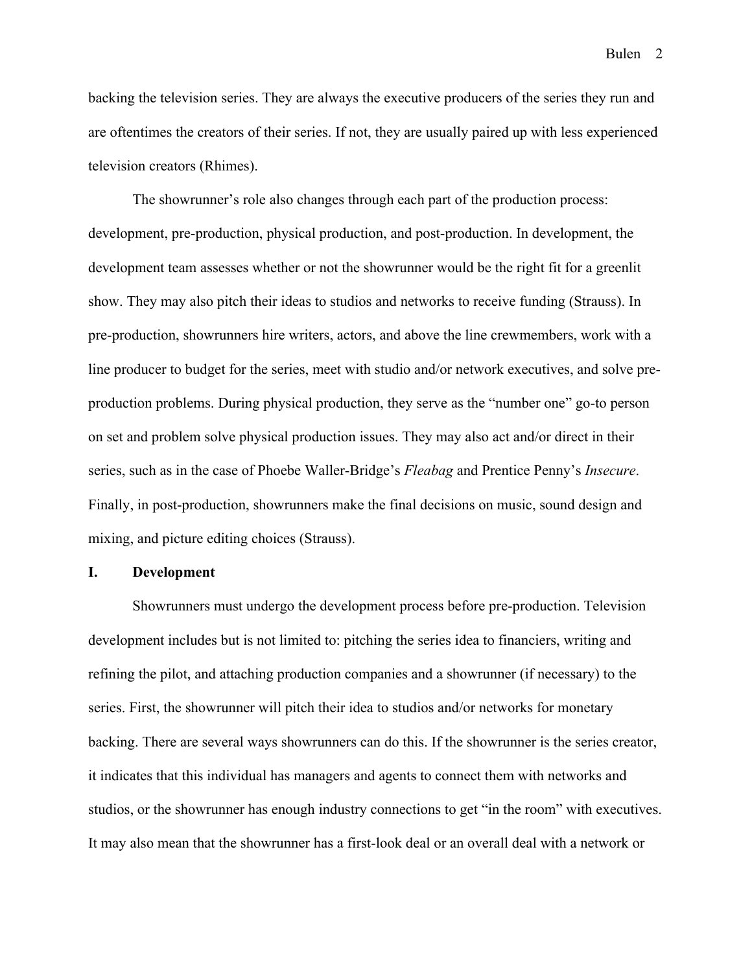backing the television series. They are always the executive producers of the series they run and are oftentimes the creators of their series. If not, they are usually paired up with less experienced television creators (Rhimes).

The showrunner's role also changes through each part of the production process: development, pre-production, physical production, and post-production. In development, the development team assesses whether or not the showrunner would be the right fit for a greenlit show. They may also pitch their ideas to studios and networks to receive funding (Strauss). In pre-production, showrunners hire writers, actors, and above the line crewmembers, work with a line producer to budget for the series, meet with studio and/or network executives, and solve preproduction problems. During physical production, they serve as the "number one" go-to person on set and problem solve physical production issues. They may also act and/or direct in their series, such as in the case of Phoebe Waller-Bridge's *Fleabag* and Prentice Penny's *Insecure*. Finally, in post-production, showrunners make the final decisions on music, sound design and mixing, and picture editing choices (Strauss).

## **I. Development**

Showrunners must undergo the development process before pre-production. Television development includes but is not limited to: pitching the series idea to financiers, writing and refining the pilot, and attaching production companies and a showrunner (if necessary) to the series. First, the showrunner will pitch their idea to studios and/or networks for monetary backing. There are several ways showrunners can do this. If the showrunner is the series creator, it indicates that this individual has managers and agents to connect them with networks and studios, or the showrunner has enough industry connections to get "in the room" with executives. It may also mean that the showrunner has a first-look deal or an overall deal with a network or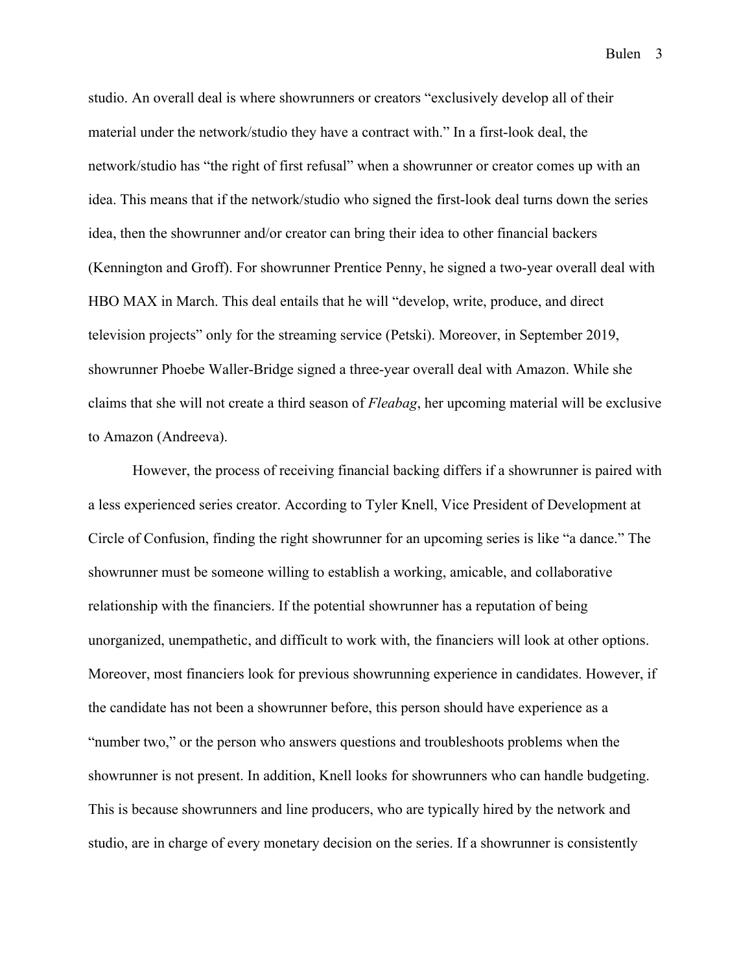studio. An overall deal is where showrunners or creators "exclusively develop all of their material under the network/studio they have a contract with." In a first-look deal, the network/studio has "the right of first refusal" when a showrunner or creator comes up with an idea. This means that if the network/studio who signed the first-look deal turns down the series idea, then the showrunner and/or creator can bring their idea to other financial backers (Kennington and Groff). For showrunner Prentice Penny, he signed a two-year overall deal with HBO MAX in March. This deal entails that he will "develop, write, produce, and direct television projects" only for the streaming service (Petski). Moreover, in September 2019, showrunner Phoebe Waller-Bridge signed a three-year overall deal with Amazon. While she claims that she will not create a third season of *Fleabag*, her upcoming material will be exclusive to Amazon (Andreeva).

However, the process of receiving financial backing differs if a showrunner is paired with a less experienced series creator. According to Tyler Knell, Vice President of Development at Circle of Confusion, finding the right showrunner for an upcoming series is like "a dance." The showrunner must be someone willing to establish a working, amicable, and collaborative relationship with the financiers. If the potential showrunner has a reputation of being unorganized, unempathetic, and difficult to work with, the financiers will look at other options. Moreover, most financiers look for previous showrunning experience in candidates. However, if the candidate has not been a showrunner before, this person should have experience as a "number two," or the person who answers questions and troubleshoots problems when the showrunner is not present. In addition, Knell looks for showrunners who can handle budgeting. This is because showrunners and line producers, who are typically hired by the network and studio, are in charge of every monetary decision on the series. If a showrunner is consistently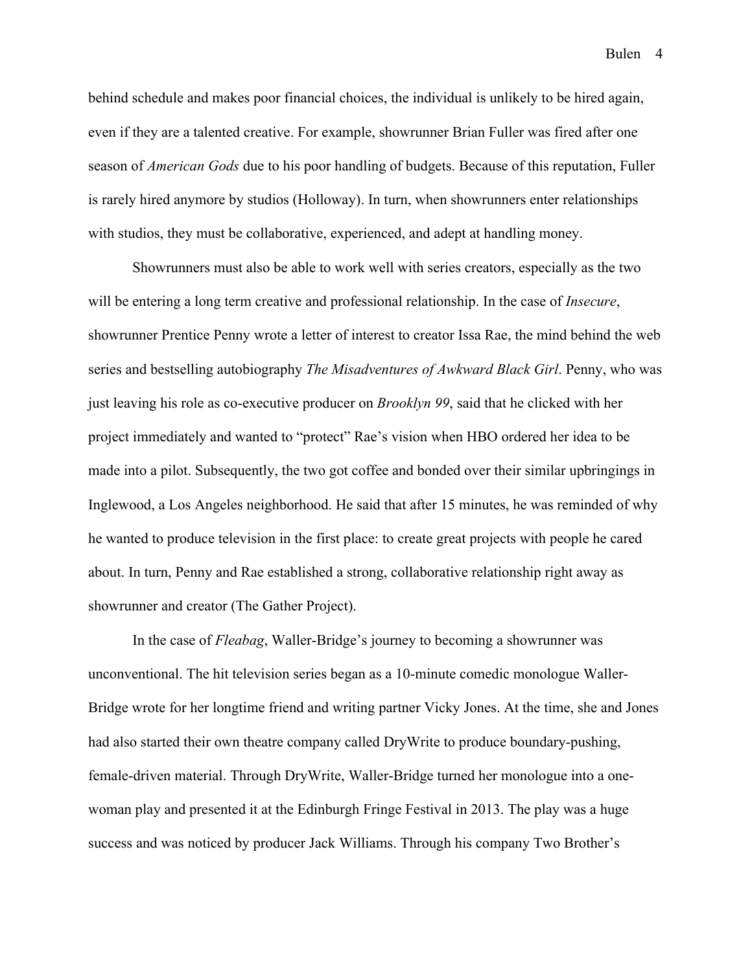behind schedule and makes poor financial choices, the individual is unlikely to be hired again, even if they are a talented creative. For example, showrunner Brian Fuller was fired after one season of *American Gods* due to his poor handling of budgets. Because of this reputation, Fuller is rarely hired anymore by studios (Holloway). In turn, when showrunners enter relationships with studios, they must be collaborative, experienced, and adept at handling money.

Showrunners must also be able to work well with series creators, especially as the two will be entering a long term creative and professional relationship. In the case of *Insecure*, showrunner Prentice Penny wrote a letter of interest to creator Issa Rae, the mind behind the web series and bestselling autobiography *The Misadventures of Awkward Black Girl*. Penny, who was just leaving his role as co-executive producer on *Brooklyn 99*, said that he clicked with her project immediately and wanted to "protect" Rae's vision when HBO ordered her idea to be made into a pilot. Subsequently, the two got coffee and bonded over their similar upbringings in Inglewood, a Los Angeles neighborhood. He said that after 15 minutes, he was reminded of why he wanted to produce television in the first place: to create great projects with people he cared about. In turn, Penny and Rae established a strong, collaborative relationship right away as showrunner and creator (The Gather Project).

In the case of *Fleabag*, Waller-Bridge's journey to becoming a showrunner was unconventional. The hit television series began as a 10-minute comedic monologue Waller-Bridge wrote for her longtime friend and writing partner Vicky Jones. At the time, she and Jones had also started their own theatre company called DryWrite to produce boundary-pushing, female-driven material. Through DryWrite, Waller-Bridge turned her monologue into a onewoman play and presented it at the Edinburgh Fringe Festival in 2013. The play was a huge success and was noticed by producer Jack Williams. Through his company Two Brother's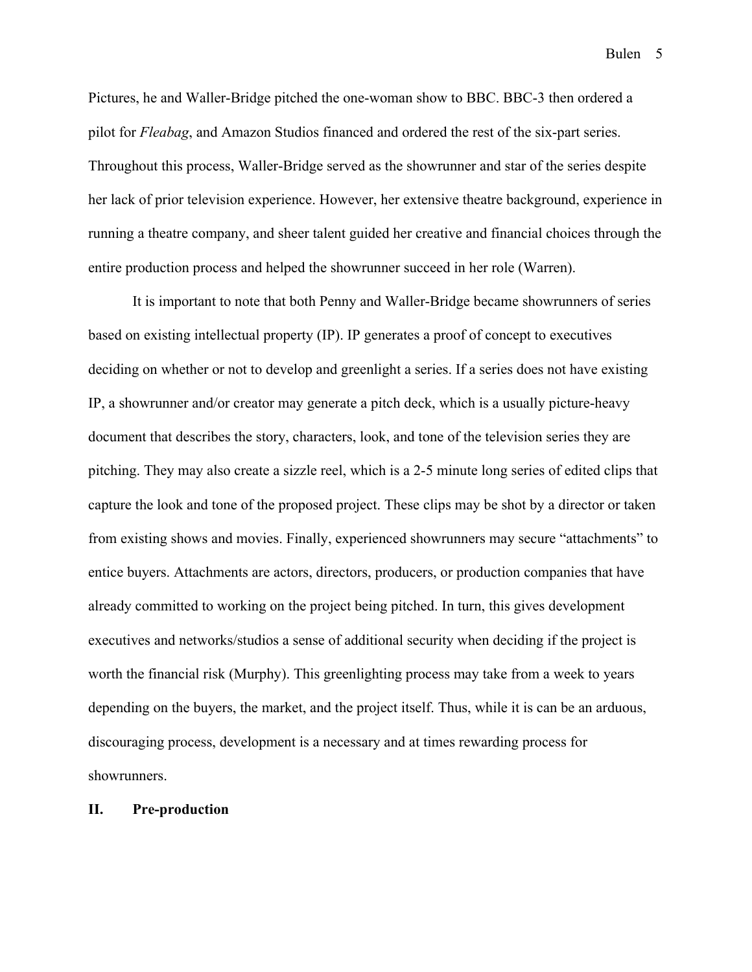Pictures, he and Waller-Bridge pitched the one-woman show to BBC. BBC-3 then ordered a pilot for *Fleabag*, and Amazon Studios financed and ordered the rest of the six-part series. Throughout this process, Waller-Bridge served as the showrunner and star of the series despite her lack of prior television experience. However, her extensive theatre background, experience in running a theatre company, and sheer talent guided her creative and financial choices through the entire production process and helped the showrunner succeed in her role (Warren).

It is important to note that both Penny and Waller-Bridge became showrunners of series based on existing intellectual property (IP). IP generates a proof of concept to executives deciding on whether or not to develop and greenlight a series. If a series does not have existing IP, a showrunner and/or creator may generate a pitch deck, which is a usually picture-heavy document that describes the story, characters, look, and tone of the television series they are pitching. They may also create a sizzle reel, which is a 2-5 minute long series of edited clips that capture the look and tone of the proposed project. These clips may be shot by a director or taken from existing shows and movies. Finally, experienced showrunners may secure "attachments" to entice buyers. Attachments are actors, directors, producers, or production companies that have already committed to working on the project being pitched. In turn, this gives development executives and networks/studios a sense of additional security when deciding if the project is worth the financial risk (Murphy). This greenlighting process may take from a week to years depending on the buyers, the market, and the project itself. Thus, while it is can be an arduous, discouraging process, development is a necessary and at times rewarding process for showrunners.

# **II. Pre-production**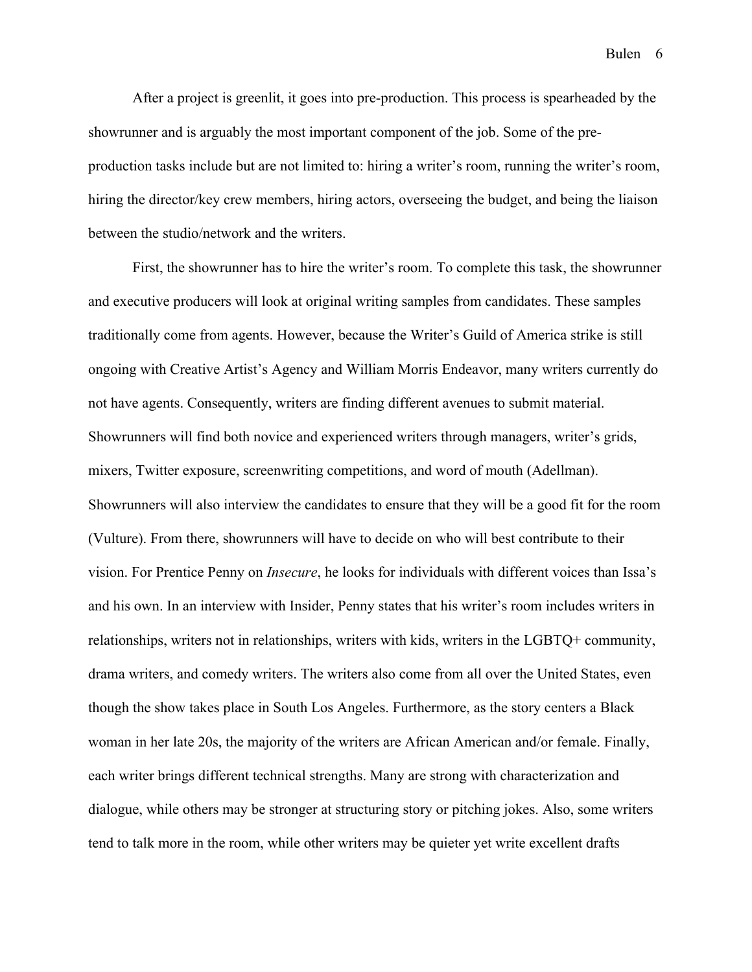After a project is greenlit, it goes into pre-production. This process is spearheaded by the showrunner and is arguably the most important component of the job. Some of the preproduction tasks include but are not limited to: hiring a writer's room, running the writer's room, hiring the director/key crew members, hiring actors, overseeing the budget, and being the liaison between the studio/network and the writers.

First, the showrunner has to hire the writer's room. To complete this task, the showrunner and executive producers will look at original writing samples from candidates. These samples traditionally come from agents. However, because the Writer's Guild of America strike is still ongoing with Creative Artist's Agency and William Morris Endeavor, many writers currently do not have agents. Consequently, writers are finding different avenues to submit material. Showrunners will find both novice and experienced writers through managers, writer's grids, mixers, Twitter exposure, screenwriting competitions, and word of mouth (Adellman). Showrunners will also interview the candidates to ensure that they will be a good fit for the room (Vulture). From there, showrunners will have to decide on who will best contribute to their vision. For Prentice Penny on *Insecure*, he looks for individuals with different voices than Issa's and his own. In an interview with Insider, Penny states that his writer's room includes writers in relationships, writers not in relationships, writers with kids, writers in the LGBTQ+ community, drama writers, and comedy writers. The writers also come from all over the United States, even though the show takes place in South Los Angeles. Furthermore, as the story centers a Black woman in her late 20s, the majority of the writers are African American and/or female. Finally, each writer brings different technical strengths. Many are strong with characterization and dialogue, while others may be stronger at structuring story or pitching jokes. Also, some writers tend to talk more in the room, while other writers may be quieter yet write excellent drafts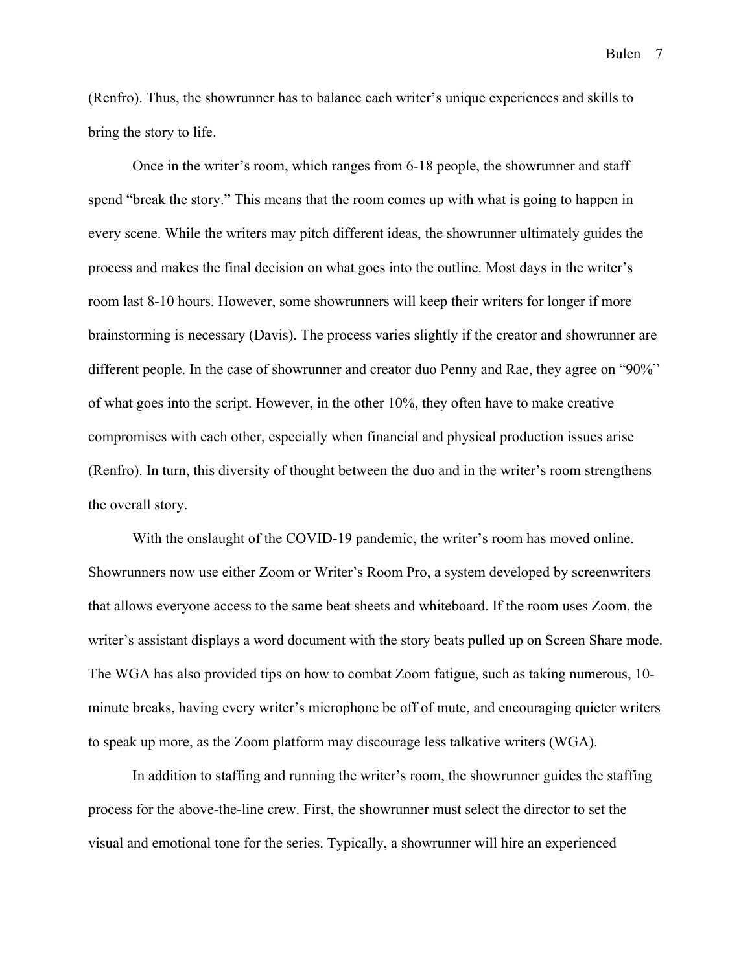(Renfro). Thus, the showrunner has to balance each writer's unique experiences and skills to bring the story to life.

Once in the writer's room, which ranges from 6-18 people, the showrunner and staff spend "break the story." This means that the room comes up with what is going to happen in every scene. While the writers may pitch different ideas, the showrunner ultimately guides the process and makes the final decision on what goes into the outline. Most days in the writer's room last 8-10 hours. However, some showrunners will keep their writers for longer if more brainstorming is necessary (Davis). The process varies slightly if the creator and showrunner are different people. In the case of showrunner and creator duo Penny and Rae, they agree on "90%" of what goes into the script. However, in the other 10%, they often have to make creative compromises with each other, especially when financial and physical production issues arise (Renfro). In turn, this diversity of thought between the duo and in the writer's room strengthens the overall story.

With the onslaught of the COVID-19 pandemic, the writer's room has moved online. Showrunners now use either Zoom or Writer's Room Pro, a system developed by screenwriters that allows everyone access to the same beat sheets and whiteboard. If the room uses Zoom, the writer's assistant displays a word document with the story beats pulled up on Screen Share mode. The WGA has also provided tips on how to combat Zoom fatigue, such as taking numerous, 10 minute breaks, having every writer's microphone be off of mute, and encouraging quieter writers to speak up more, as the Zoom platform may discourage less talkative writers (WGA).

In addition to staffing and running the writer's room, the showrunner guides the staffing process for the above-the-line crew. First, the showrunner must select the director to set the visual and emotional tone for the series. Typically, a showrunner will hire an experienced

Bulen 7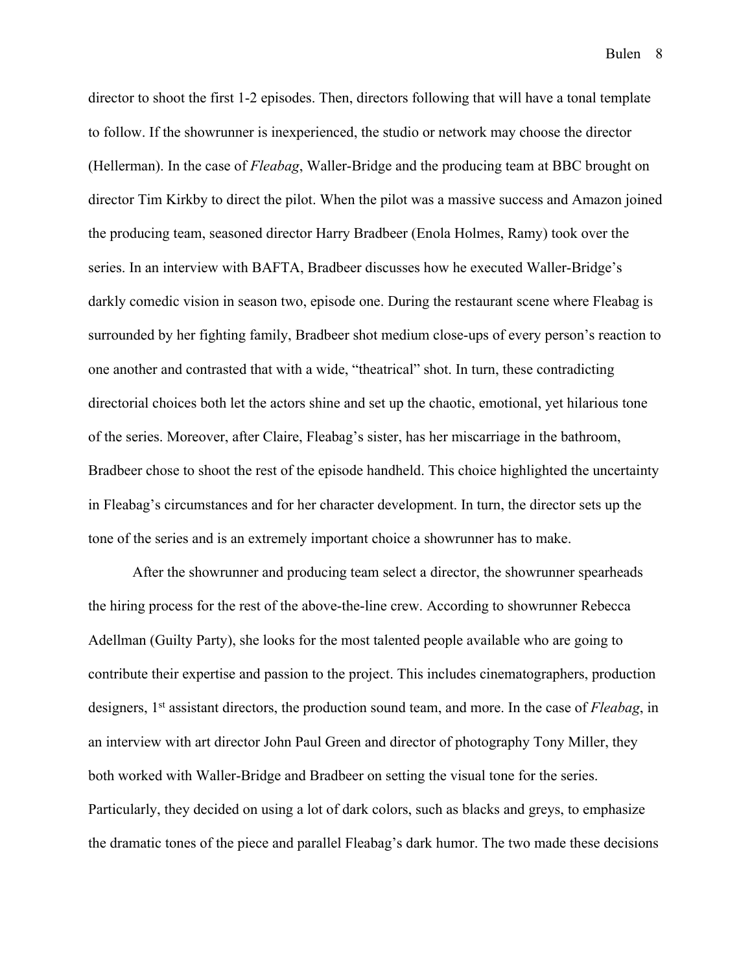director to shoot the first 1-2 episodes. Then, directors following that will have a tonal template to follow. If the showrunner is inexperienced, the studio or network may choose the director (Hellerman). In the case of *Fleabag*, Waller-Bridge and the producing team at BBC brought on director Tim Kirkby to direct the pilot. When the pilot was a massive success and Amazon joined the producing team, seasoned director Harry Bradbeer (Enola Holmes, Ramy) took over the series. In an interview with BAFTA, Bradbeer discusses how he executed Waller-Bridge's darkly comedic vision in season two, episode one. During the restaurant scene where Fleabag is surrounded by her fighting family, Bradbeer shot medium close-ups of every person's reaction to one another and contrasted that with a wide, "theatrical" shot. In turn, these contradicting directorial choices both let the actors shine and set up the chaotic, emotional, yet hilarious tone of the series. Moreover, after Claire, Fleabag's sister, has her miscarriage in the bathroom, Bradbeer chose to shoot the rest of the episode handheld. This choice highlighted the uncertainty in Fleabag's circumstances and for her character development. In turn, the director sets up the tone of the series and is an extremely important choice a showrunner has to make.

After the showrunner and producing team select a director, the showrunner spearheads the hiring process for the rest of the above-the-line crew. According to showrunner Rebecca Adellman (Guilty Party), she looks for the most talented people available who are going to contribute their expertise and passion to the project. This includes cinematographers, production designers, 1st assistant directors, the production sound team, and more. In the case of *Fleabag*, in an interview with art director John Paul Green and director of photography Tony Miller, they both worked with Waller-Bridge and Bradbeer on setting the visual tone for the series. Particularly, they decided on using a lot of dark colors, such as blacks and greys, to emphasize the dramatic tones of the piece and parallel Fleabag's dark humor. The two made these decisions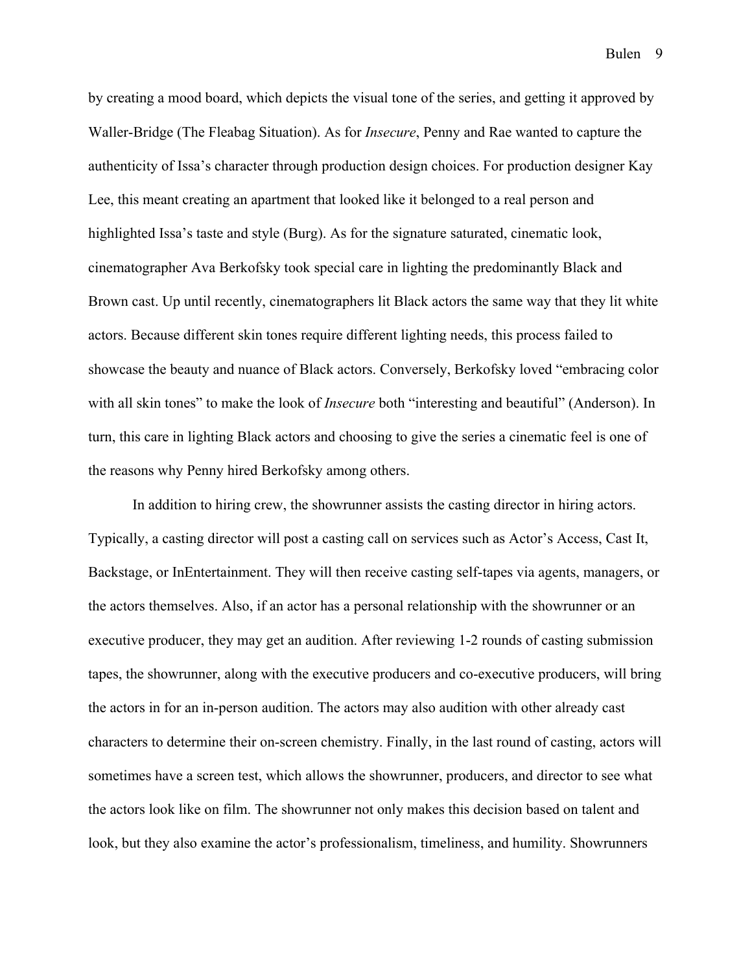by creating a mood board, which depicts the visual tone of the series, and getting it approved by Waller-Bridge (The Fleabag Situation). As for *Insecure*, Penny and Rae wanted to capture the authenticity of Issa's character through production design choices. For production designer Kay Lee, this meant creating an apartment that looked like it belonged to a real person and highlighted Issa's taste and style (Burg). As for the signature saturated, cinematic look, cinematographer Ava Berkofsky took special care in lighting the predominantly Black and Brown cast. Up until recently, cinematographers lit Black actors the same way that they lit white actors. Because different skin tones require different lighting needs, this process failed to showcase the beauty and nuance of Black actors. Conversely, Berkofsky loved "embracing color with all skin tones" to make the look of *Insecure* both "interesting and beautiful" (Anderson). In turn, this care in lighting Black actors and choosing to give the series a cinematic feel is one of the reasons why Penny hired Berkofsky among others.

In addition to hiring crew, the showrunner assists the casting director in hiring actors. Typically, a casting director will post a casting call on services such as Actor's Access, Cast It, Backstage, or InEntertainment. They will then receive casting self-tapes via agents, managers, or the actors themselves. Also, if an actor has a personal relationship with the showrunner or an executive producer, they may get an audition. After reviewing 1-2 rounds of casting submission tapes, the showrunner, along with the executive producers and co-executive producers, will bring the actors in for an in-person audition. The actors may also audition with other already cast characters to determine their on-screen chemistry. Finally, in the last round of casting, actors will sometimes have a screen test, which allows the showrunner, producers, and director to see what the actors look like on film. The showrunner not only makes this decision based on talent and look, but they also examine the actor's professionalism, timeliness, and humility. Showrunners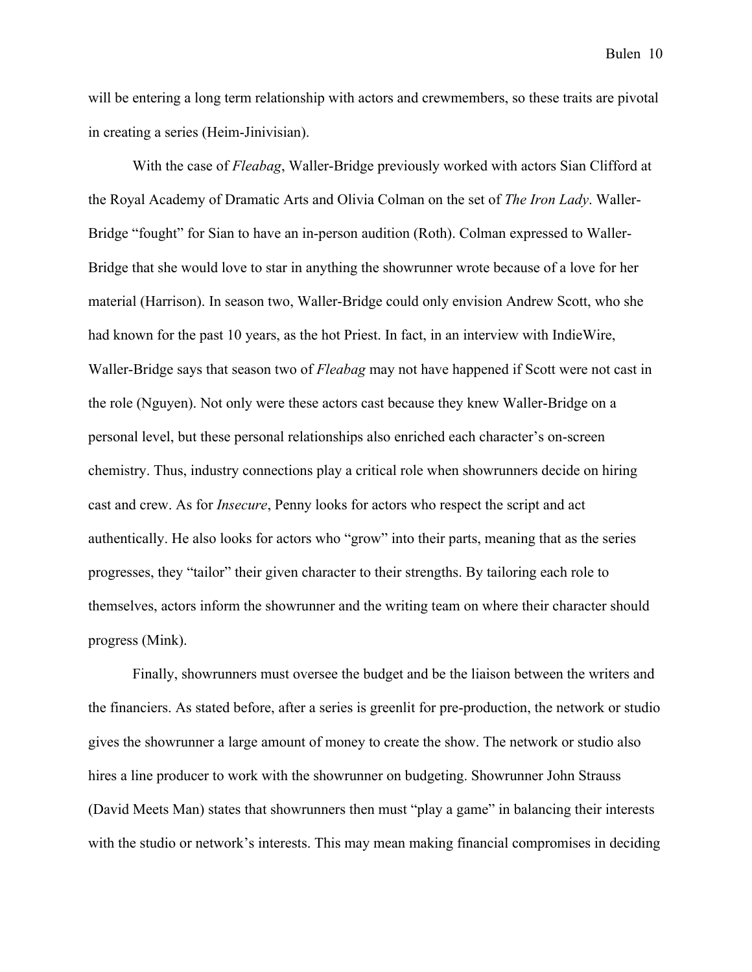will be entering a long term relationship with actors and crewmembers, so these traits are pivotal in creating a series (Heim-Jinivisian).

With the case of *Fleabag*, Waller-Bridge previously worked with actors Sian Clifford at the Royal Academy of Dramatic Arts and Olivia Colman on the set of *The Iron Lady*. Waller-Bridge "fought" for Sian to have an in-person audition (Roth). Colman expressed to Waller-Bridge that she would love to star in anything the showrunner wrote because of a love for her material (Harrison). In season two, Waller-Bridge could only envision Andrew Scott, who she had known for the past 10 years, as the hot Priest. In fact, in an interview with IndieWire, Waller-Bridge says that season two of *Fleabag* may not have happened if Scott were not cast in the role (Nguyen). Not only were these actors cast because they knew Waller-Bridge on a personal level, but these personal relationships also enriched each character's on-screen chemistry. Thus, industry connections play a critical role when showrunners decide on hiring cast and crew. As for *Insecure*, Penny looks for actors who respect the script and act authentically. He also looks for actors who "grow" into their parts, meaning that as the series progresses, they "tailor" their given character to their strengths. By tailoring each role to themselves, actors inform the showrunner and the writing team on where their character should progress (Mink).

Finally, showrunners must oversee the budget and be the liaison between the writers and the financiers. As stated before, after a series is greenlit for pre-production, the network or studio gives the showrunner a large amount of money to create the show. The network or studio also hires a line producer to work with the showrunner on budgeting. Showrunner John Strauss (David Meets Man) states that showrunners then must "play a game" in balancing their interests with the studio or network's interests. This may mean making financial compromises in deciding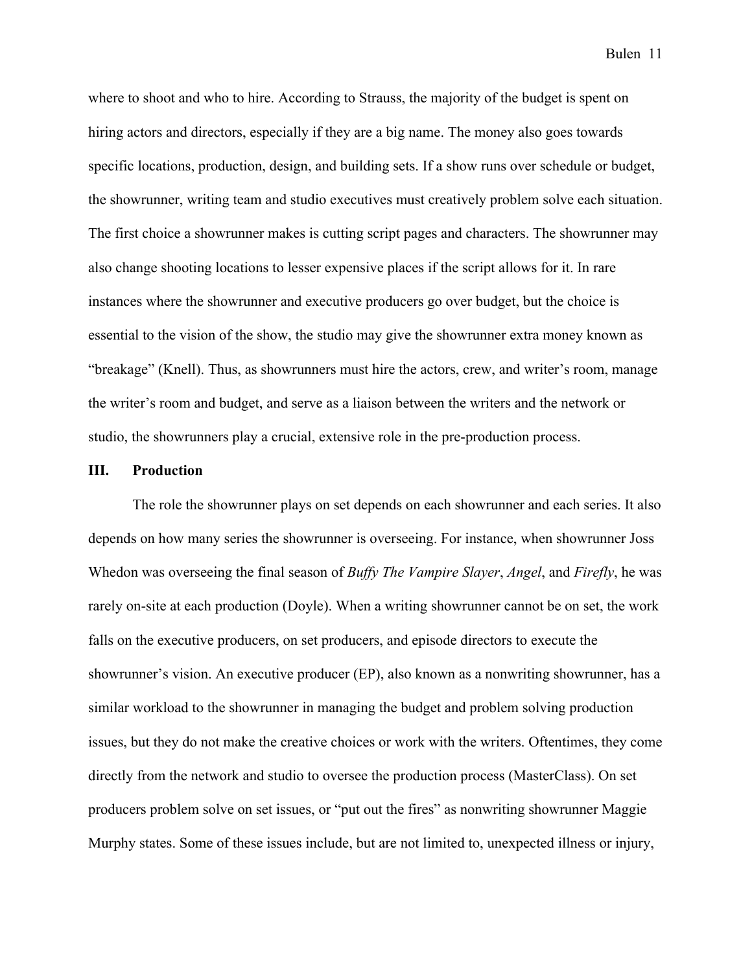where to shoot and who to hire. According to Strauss, the majority of the budget is spent on hiring actors and directors, especially if they are a big name. The money also goes towards specific locations, production, design, and building sets. If a show runs over schedule or budget, the showrunner, writing team and studio executives must creatively problem solve each situation. The first choice a showrunner makes is cutting script pages and characters. The showrunner may also change shooting locations to lesser expensive places if the script allows for it. In rare instances where the showrunner and executive producers go over budget, but the choice is essential to the vision of the show, the studio may give the showrunner extra money known as "breakage" (Knell). Thus, as showrunners must hire the actors, crew, and writer's room, manage the writer's room and budget, and serve as a liaison between the writers and the network or studio, the showrunners play a crucial, extensive role in the pre-production process.

#### **III. Production**

The role the showrunner plays on set depends on each showrunner and each series. It also depends on how many series the showrunner is overseeing. For instance, when showrunner Joss Whedon was overseeing the final season of *Buffy The Vampire Slayer*, *Angel*, and *Firefly*, he was rarely on-site at each production (Doyle). When a writing showrunner cannot be on set, the work falls on the executive producers, on set producers, and episode directors to execute the showrunner's vision. An executive producer (EP), also known as a nonwriting showrunner, has a similar workload to the showrunner in managing the budget and problem solving production issues, but they do not make the creative choices or work with the writers. Oftentimes, they come directly from the network and studio to oversee the production process (MasterClass). On set producers problem solve on set issues, or "put out the fires" as nonwriting showrunner Maggie Murphy states. Some of these issues include, but are not limited to, unexpected illness or injury,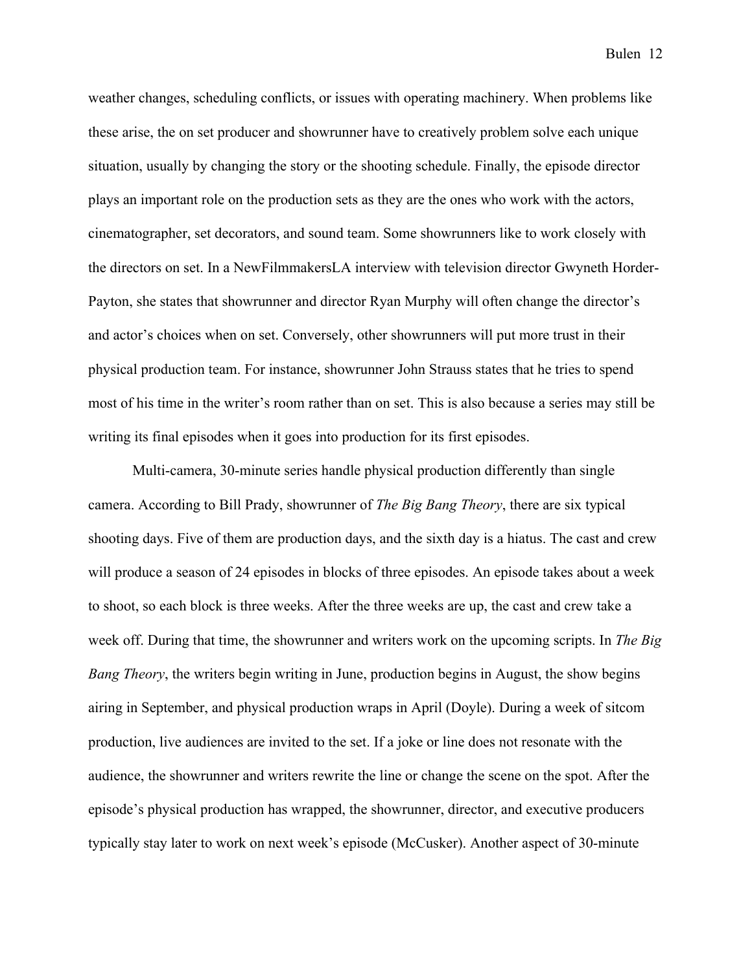weather changes, scheduling conflicts, or issues with operating machinery. When problems like these arise, the on set producer and showrunner have to creatively problem solve each unique situation, usually by changing the story or the shooting schedule. Finally, the episode director plays an important role on the production sets as they are the ones who work with the actors, cinematographer, set decorators, and sound team. Some showrunners like to work closely with the directors on set. In a NewFilmmakersLA interview with television director Gwyneth Horder-Payton, she states that showrunner and director Ryan Murphy will often change the director's and actor's choices when on set. Conversely, other showrunners will put more trust in their physical production team. For instance, showrunner John Strauss states that he tries to spend most of his time in the writer's room rather than on set. This is also because a series may still be writing its final episodes when it goes into production for its first episodes.

Multi-camera, 30-minute series handle physical production differently than single camera. According to Bill Prady, showrunner of *The Big Bang Theory*, there are six typical shooting days. Five of them are production days, and the sixth day is a hiatus. The cast and crew will produce a season of 24 episodes in blocks of three episodes. An episode takes about a week to shoot, so each block is three weeks. After the three weeks are up, the cast and crew take a week off. During that time, the showrunner and writers work on the upcoming scripts. In *The Big Bang Theory*, the writers begin writing in June, production begins in August, the show begins airing in September, and physical production wraps in April (Doyle). During a week of sitcom production, live audiences are invited to the set. If a joke or line does not resonate with the audience, the showrunner and writers rewrite the line or change the scene on the spot. After the episode's physical production has wrapped, the showrunner, director, and executive producers typically stay later to work on next week's episode (McCusker). Another aspect of 30-minute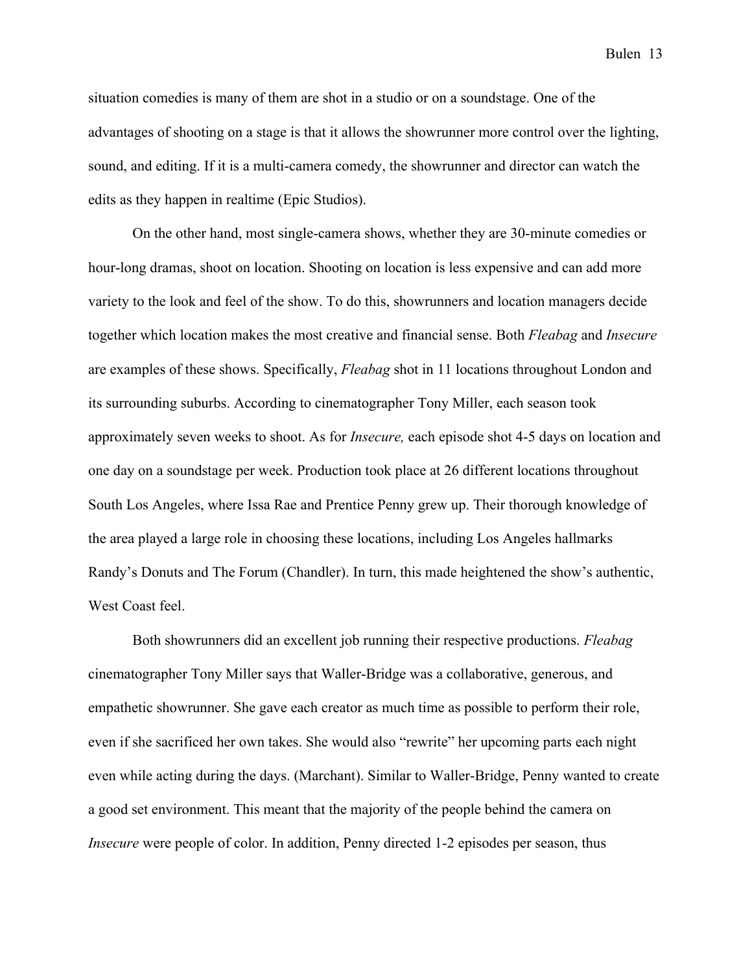situation comedies is many of them are shot in a studio or on a soundstage. One of the advantages of shooting on a stage is that it allows the showrunner more control over the lighting, sound, and editing. If it is a multi-camera comedy, the showrunner and director can watch the edits as they happen in realtime (Epic Studios).

On the other hand, most single-camera shows, whether they are 30-minute comedies or hour-long dramas, shoot on location. Shooting on location is less expensive and can add more variety to the look and feel of the show. To do this, showrunners and location managers decide together which location makes the most creative and financial sense. Both *Fleabag* and *Insecure* are examples of these shows. Specifically, *Fleabag* shot in 11 locations throughout London and its surrounding suburbs. According to cinematographer Tony Miller, each season took approximately seven weeks to shoot. As for *Insecure,* each episode shot 4-5 days on location and one day on a soundstage per week. Production took place at 26 different locations throughout South Los Angeles, where Issa Rae and Prentice Penny grew up. Their thorough knowledge of the area played a large role in choosing these locations, including Los Angeles hallmarks Randy's Donuts and The Forum (Chandler). In turn, this made heightened the show's authentic, West Coast feel.

Both showrunners did an excellent job running their respective productions. *Fleabag*  cinematographer Tony Miller says that Waller-Bridge was a collaborative, generous, and empathetic showrunner. She gave each creator as much time as possible to perform their role, even if she sacrificed her own takes. She would also "rewrite" her upcoming parts each night even while acting during the days. (Marchant). Similar to Waller-Bridge, Penny wanted to create a good set environment. This meant that the majority of the people behind the camera on *Insecure* were people of color. In addition, Penny directed 1-2 episodes per season, thus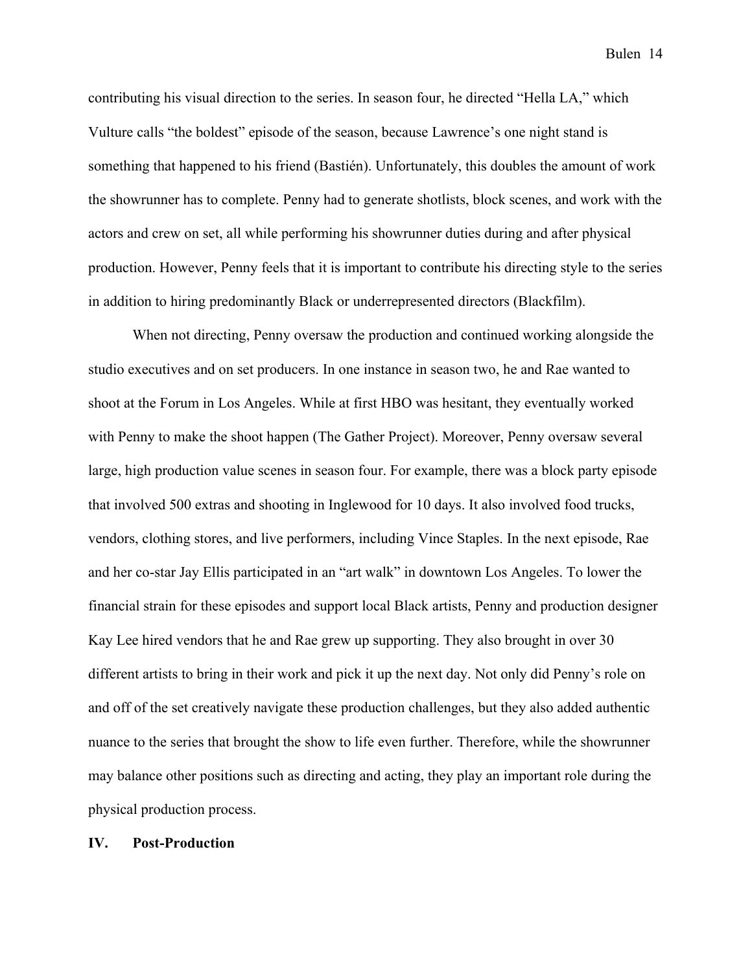contributing his visual direction to the series. In season four, he directed "Hella LA," which Vulture calls "the boldest" episode of the season, because Lawrence's one night stand is something that happened to his friend (Bastién). Unfortunately, this doubles the amount of work the showrunner has to complete. Penny had to generate shotlists, block scenes, and work with the actors and crew on set, all while performing his showrunner duties during and after physical production. However, Penny feels that it is important to contribute his directing style to the series in addition to hiring predominantly Black or underrepresented directors (Blackfilm).

When not directing, Penny oversaw the production and continued working alongside the studio executives and on set producers. In one instance in season two, he and Rae wanted to shoot at the Forum in Los Angeles. While at first HBO was hesitant, they eventually worked with Penny to make the shoot happen (The Gather Project). Moreover, Penny oversaw several large, high production value scenes in season four. For example, there was a block party episode that involved 500 extras and shooting in Inglewood for 10 days. It also involved food trucks, vendors, clothing stores, and live performers, including Vince Staples. In the next episode, Rae and her co-star Jay Ellis participated in an "art walk" in downtown Los Angeles. To lower the financial strain for these episodes and support local Black artists, Penny and production designer Kay Lee hired vendors that he and Rae grew up supporting. They also brought in over 30 different artists to bring in their work and pick it up the next day. Not only did Penny's role on and off of the set creatively navigate these production challenges, but they also added authentic nuance to the series that brought the show to life even further. Therefore, while the showrunner may balance other positions such as directing and acting, they play an important role during the physical production process.

## **IV. Post-Production**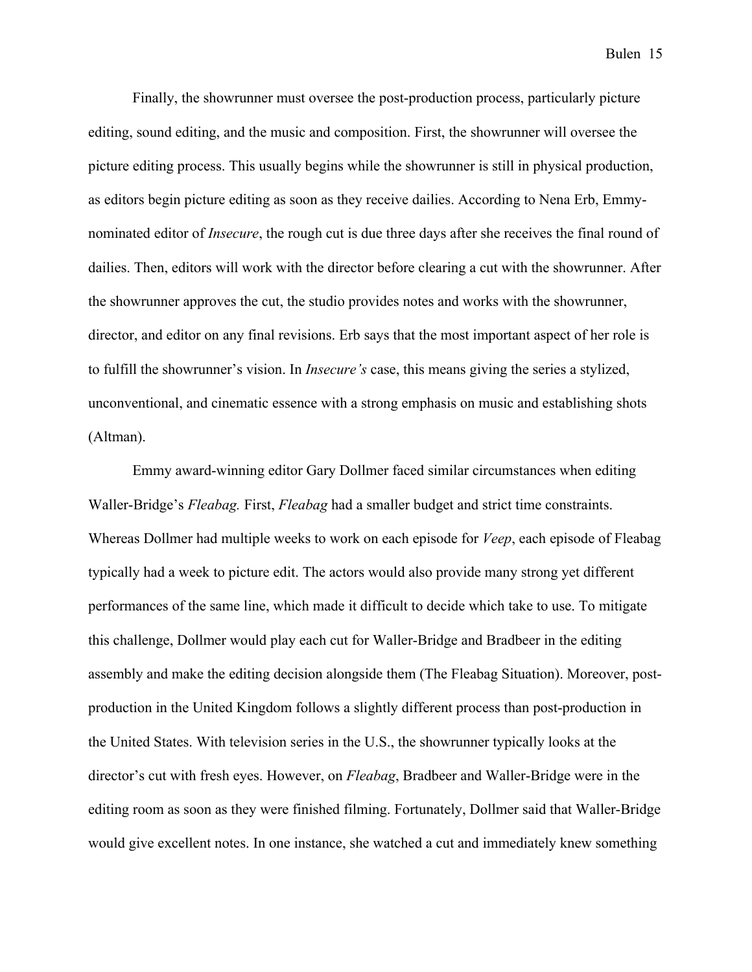Finally, the showrunner must oversee the post-production process, particularly picture editing, sound editing, and the music and composition. First, the showrunner will oversee the picture editing process. This usually begins while the showrunner is still in physical production, as editors begin picture editing as soon as they receive dailies. According to Nena Erb, Emmynominated editor of *Insecure*, the rough cut is due three days after she receives the final round of dailies. Then, editors will work with the director before clearing a cut with the showrunner. After the showrunner approves the cut, the studio provides notes and works with the showrunner, director, and editor on any final revisions. Erb says that the most important aspect of her role is to fulfill the showrunner's vision. In *Insecure's* case, this means giving the series a stylized, unconventional, and cinematic essence with a strong emphasis on music and establishing shots (Altman).

Emmy award-winning editor Gary Dollmer faced similar circumstances when editing Waller-Bridge's *Fleabag.* First, *Fleabag* had a smaller budget and strict time constraints. Whereas Dollmer had multiple weeks to work on each episode for *Veep*, each episode of Fleabag typically had a week to picture edit. The actors would also provide many strong yet different performances of the same line, which made it difficult to decide which take to use. To mitigate this challenge, Dollmer would play each cut for Waller-Bridge and Bradbeer in the editing assembly and make the editing decision alongside them (The Fleabag Situation). Moreover, postproduction in the United Kingdom follows a slightly different process than post-production in the United States. With television series in the U.S., the showrunner typically looks at the director's cut with fresh eyes. However, on *Fleabag*, Bradbeer and Waller-Bridge were in the editing room as soon as they were finished filming. Fortunately, Dollmer said that Waller-Bridge would give excellent notes. In one instance, she watched a cut and immediately knew something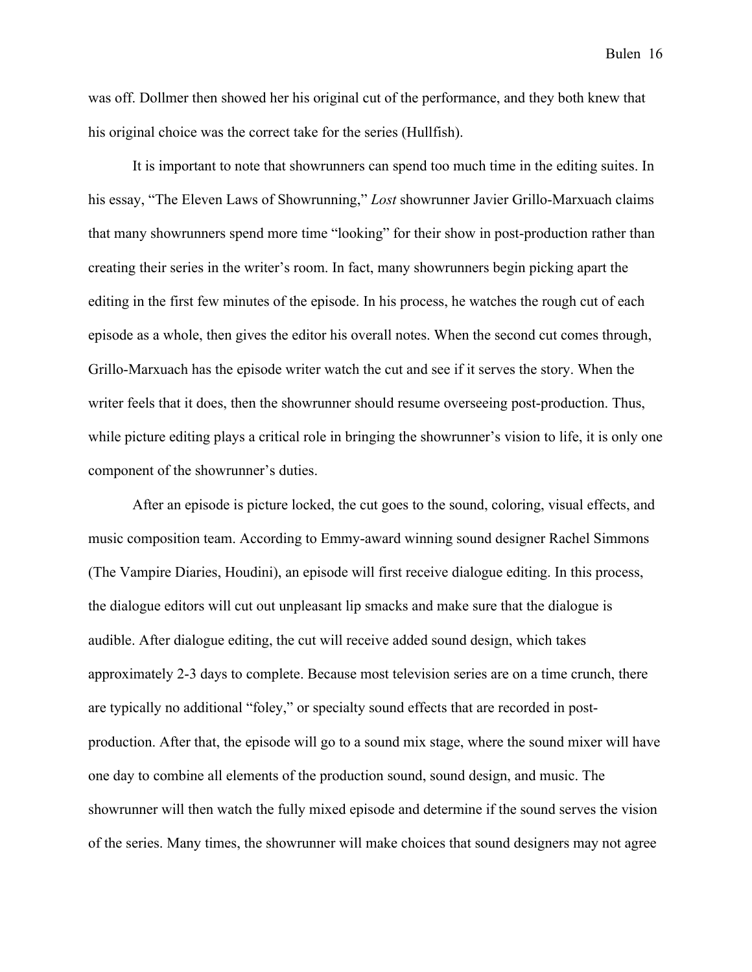was off. Dollmer then showed her his original cut of the performance, and they both knew that his original choice was the correct take for the series (Hullfish).

It is important to note that showrunners can spend too much time in the editing suites. In his essay, "The Eleven Laws of Showrunning," *Lost* showrunner Javier Grillo-Marxuach claims that many showrunners spend more time "looking" for their show in post-production rather than creating their series in the writer's room. In fact, many showrunners begin picking apart the editing in the first few minutes of the episode. In his process, he watches the rough cut of each episode as a whole, then gives the editor his overall notes. When the second cut comes through, Grillo-Marxuach has the episode writer watch the cut and see if it serves the story. When the writer feels that it does, then the showrunner should resume overseeing post-production. Thus, while picture editing plays a critical role in bringing the showrunner's vision to life, it is only one component of the showrunner's duties.

After an episode is picture locked, the cut goes to the sound, coloring, visual effects, and music composition team. According to Emmy-award winning sound designer Rachel Simmons (The Vampire Diaries, Houdini), an episode will first receive dialogue editing. In this process, the dialogue editors will cut out unpleasant lip smacks and make sure that the dialogue is audible. After dialogue editing, the cut will receive added sound design, which takes approximately 2-3 days to complete. Because most television series are on a time crunch, there are typically no additional "foley," or specialty sound effects that are recorded in postproduction. After that, the episode will go to a sound mix stage, where the sound mixer will have one day to combine all elements of the production sound, sound design, and music. The showrunner will then watch the fully mixed episode and determine if the sound serves the vision of the series. Many times, the showrunner will make choices that sound designers may not agree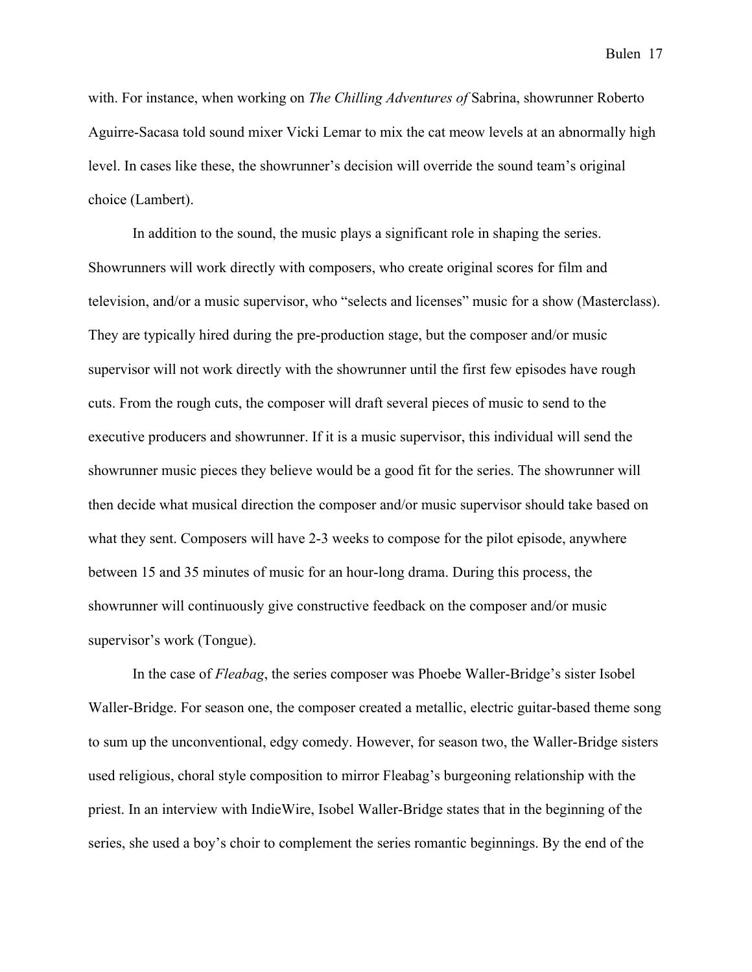with. For instance, when working on *The Chilling Adventures of* Sabrina, showrunner Roberto Aguirre-Sacasa told sound mixer Vicki Lemar to mix the cat meow levels at an abnormally high level. In cases like these, the showrunner's decision will override the sound team's original choice (Lambert).

In addition to the sound, the music plays a significant role in shaping the series. Showrunners will work directly with composers, who create original scores for film and television, and/or a music supervisor, who "selects and licenses" music for a show (Masterclass). They are typically hired during the pre-production stage, but the composer and/or music supervisor will not work directly with the showrunner until the first few episodes have rough cuts. From the rough cuts, the composer will draft several pieces of music to send to the executive producers and showrunner. If it is a music supervisor, this individual will send the showrunner music pieces they believe would be a good fit for the series. The showrunner will then decide what musical direction the composer and/or music supervisor should take based on what they sent. Composers will have 2-3 weeks to compose for the pilot episode, anywhere between 15 and 35 minutes of music for an hour-long drama. During this process, the showrunner will continuously give constructive feedback on the composer and/or music supervisor's work (Tongue).

In the case of *Fleabag*, the series composer was Phoebe Waller-Bridge's sister Isobel Waller-Bridge. For season one, the composer created a metallic, electric guitar-based theme song to sum up the unconventional, edgy comedy. However, for season two, the Waller-Bridge sisters used religious, choral style composition to mirror Fleabag's burgeoning relationship with the priest. In an interview with IndieWire, Isobel Waller-Bridge states that in the beginning of the series, she used a boy's choir to complement the series romantic beginnings. By the end of the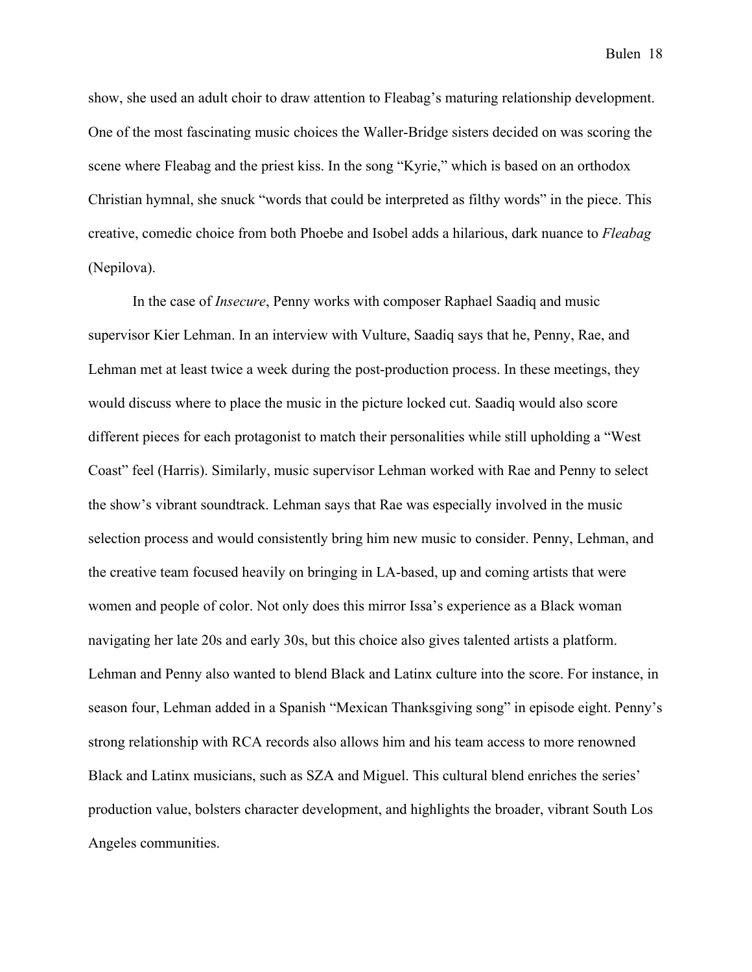show, she used an adult choir to draw attention to Fleabag's maturing relationship development. One of the most fascinating music choices the Waller-Bridge sisters decided on was scoring the scene where Fleabag and the priest kiss. In the song "Kyrie," which is based on an orthodox Christian hymnal, she snuck "words that could be interpreted as filthy words" in the piece. This creative, comedic choice from both Phoebe and Isobel adds a hilarious, dark nuance to *Fleabag* (Nepilova).

In the case of *Insecure*, Penny works with composer Raphael Saadiq and music supervisor Kier Lehman. In an interview with Vulture, Saadiq says that he, Penny, Rae, and Lehman met at least twice a week during the post-production process. In these meetings, they would discuss where to place the music in the picture locked cut. Saadiq would also score different pieces for each protagonist to match their personalities while still upholding a "West Coast" feel (Harris). Similarly, music supervisor Lehman worked with Rae and Penny to select the show's vibrant soundtrack. Lehman says that Rae was especially involved in the music selection process and would consistently bring him new music to consider. Penny, Lehman, and the creative team focused heavily on bringing in LA-based, up and coming artists that were women and people of color. Not only does this mirror Issa's experience as a Black woman navigating her late 20s and early 30s, but this choice also gives talented artists a platform. Lehman and Penny also wanted to blend Black and Latinx culture into the score. For instance, in season four, Lehman added in a Spanish "Mexican Thanksgiving song" in episode eight. Penny's strong relationship with RCA records also allows him and his team access to more renowned Black and Latinx musicians, such as SZA and Miguel. This cultural blend enriches the series' production value, bolsters character development, and highlights the broader, vibrant South Los Angeles communities.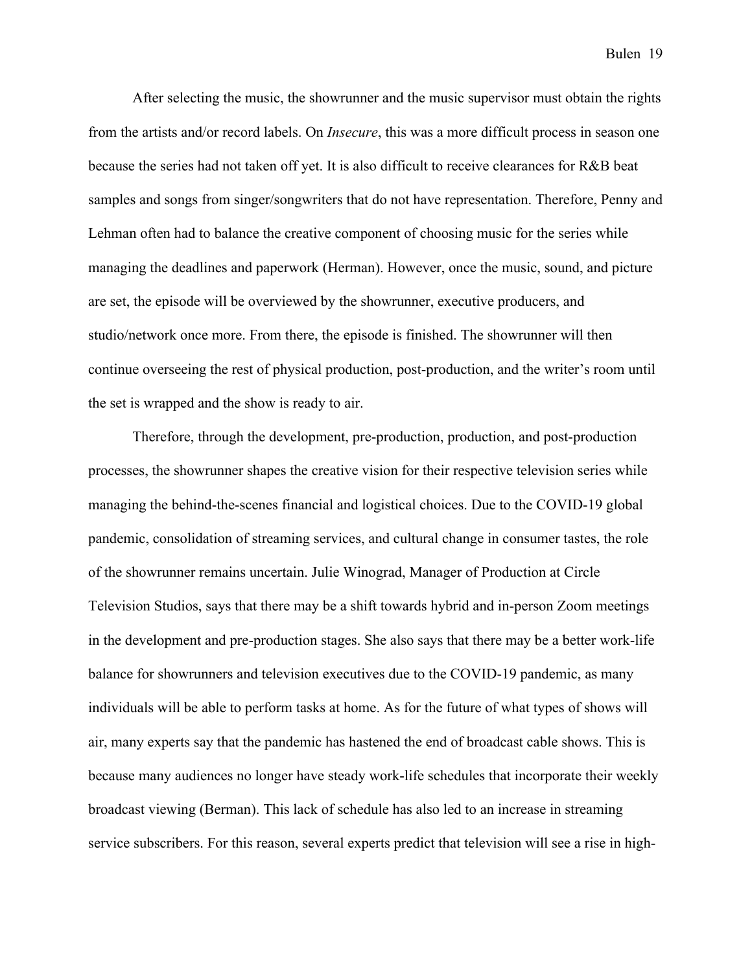After selecting the music, the showrunner and the music supervisor must obtain the rights from the artists and/or record labels. On *Insecure*, this was a more difficult process in season one because the series had not taken off yet. It is also difficult to receive clearances for R&B beat samples and songs from singer/songwriters that do not have representation. Therefore, Penny and Lehman often had to balance the creative component of choosing music for the series while managing the deadlines and paperwork (Herman). However, once the music, sound, and picture are set, the episode will be overviewed by the showrunner, executive producers, and studio/network once more. From there, the episode is finished. The showrunner will then continue overseeing the rest of physical production, post-production, and the writer's room until the set is wrapped and the show is ready to air.

Therefore, through the development, pre-production, production, and post-production processes, the showrunner shapes the creative vision for their respective television series while managing the behind-the-scenes financial and logistical choices. Due to the COVID-19 global pandemic, consolidation of streaming services, and cultural change in consumer tastes, the role of the showrunner remains uncertain. Julie Winograd, Manager of Production at Circle Television Studios, says that there may be a shift towards hybrid and in-person Zoom meetings in the development and pre-production stages. She also says that there may be a better work-life balance for showrunners and television executives due to the COVID-19 pandemic, as many individuals will be able to perform tasks at home. As for the future of what types of shows will air, many experts say that the pandemic has hastened the end of broadcast cable shows. This is because many audiences no longer have steady work-life schedules that incorporate their weekly broadcast viewing (Berman). This lack of schedule has also led to an increase in streaming service subscribers. For this reason, several experts predict that television will see a rise in high-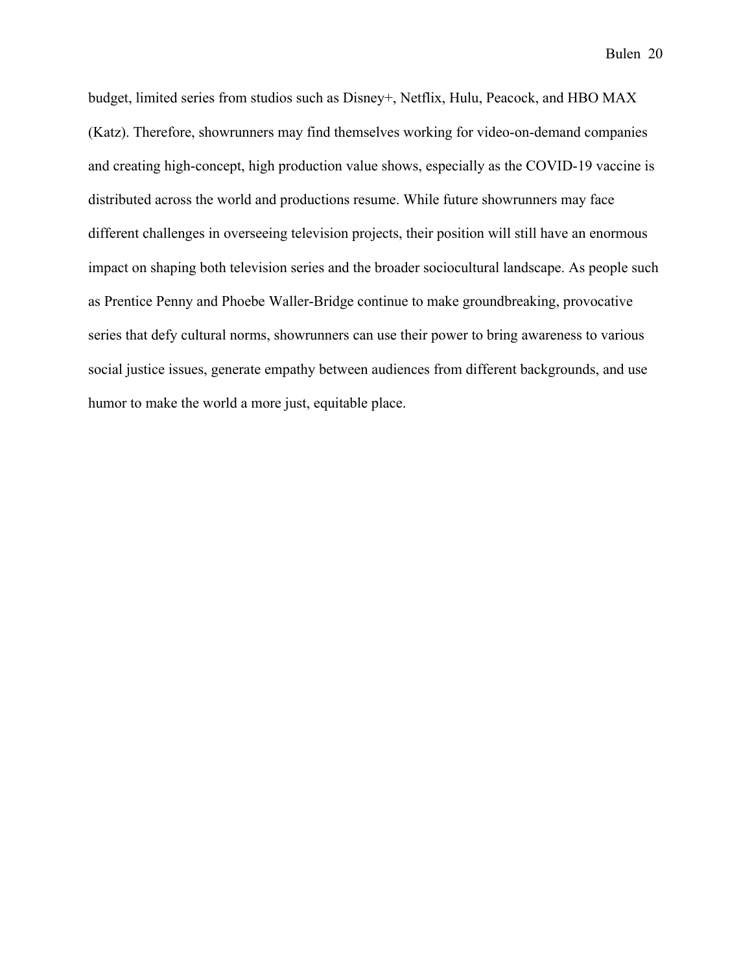budget, limited series from studios such as Disney+, Netflix, Hulu, Peacock, and HBO MAX (Katz). Therefore, showrunners may find themselves working for video-on-demand companies and creating high-concept, high production value shows, especially as the COVID-19 vaccine is distributed across the world and productions resume. While future showrunners may face different challenges in overseeing television projects, their position will still have an enormous impact on shaping both television series and the broader sociocultural landscape. As people such as Prentice Penny and Phoebe Waller-Bridge continue to make groundbreaking, provocative series that defy cultural norms, showrunners can use their power to bring awareness to various social justice issues, generate empathy between audiences from different backgrounds, and use humor to make the world a more just, equitable place.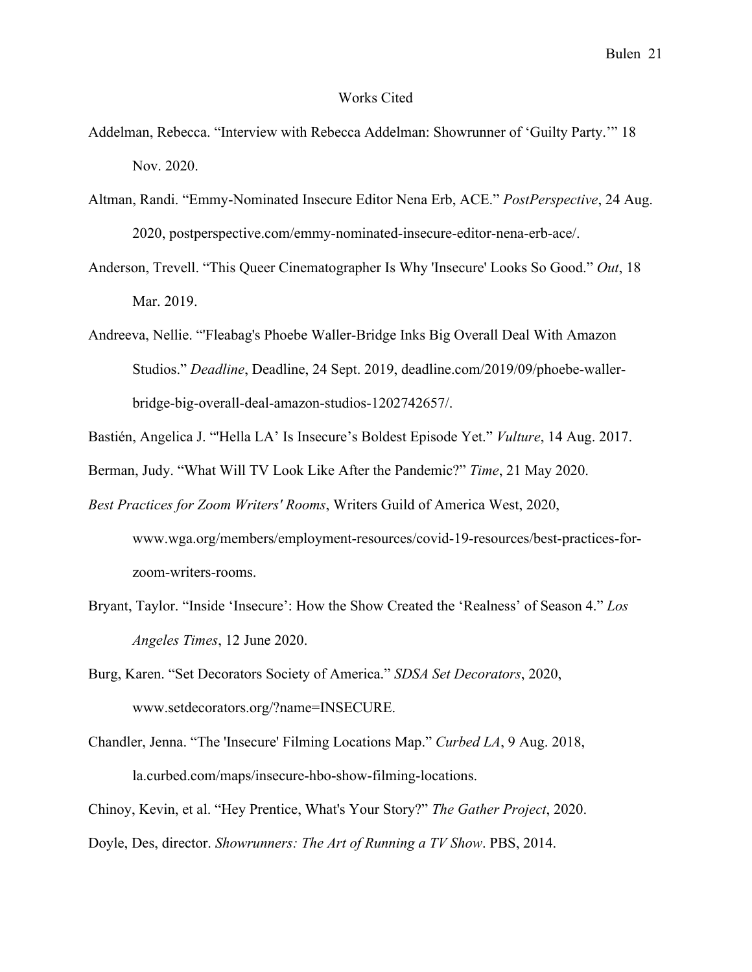#### Works Cited

- Addelman, Rebecca. "Interview with Rebecca Addelman: Showrunner of 'Guilty Party.'" 18 Nov. 2020.
- Altman, Randi. "Emmy-Nominated Insecure Editor Nena Erb, ACE." *PostPerspective*, 24 Aug. 2020, postperspective.com/emmy-nominated-insecure-editor-nena-erb-ace/.
- Anderson, Trevell. "This Queer Cinematographer Is Why 'Insecure' Looks So Good." *Out*, 18 Mar. 2019.
- Andreeva, Nellie. "'Fleabag's Phoebe Waller-Bridge Inks Big Overall Deal With Amazon Studios." *Deadline*, Deadline, 24 Sept. 2019, deadline.com/2019/09/phoebe-wallerbridge-big-overall-deal-amazon-studios-1202742657/.
- Bastién, Angelica J. "'Hella LA' Is Insecure's Boldest Episode Yet." *Vulture*, 14 Aug. 2017.
- Berman, Judy. "What Will TV Look Like After the Pandemic?" *Time*, 21 May 2020.
- *Best Practices for Zoom Writers' Rooms*, Writers Guild of America West, 2020, www.wga.org/members/employment-resources/covid-19-resources/best-practices-forzoom-writers-rooms.
- Bryant, Taylor. "Inside 'Insecure': How the Show Created the 'Realness' of Season 4." *Los Angeles Times*, 12 June 2020.
- Burg, Karen. "Set Decorators Society of America." *SDSA Set Decorators*, 2020, www.setdecorators.org/?name=INSECURE.
- Chandler, Jenna. "The 'Insecure' Filming Locations Map." *Curbed LA*, 9 Aug. 2018, la.curbed.com/maps/insecure-hbo-show-filming-locations.
- Chinoy, Kevin, et al. "Hey Prentice, What's Your Story?" *The Gather Project*, 2020.

Doyle, Des, director. *Showrunners: The Art of Running a TV Show*. PBS, 2014.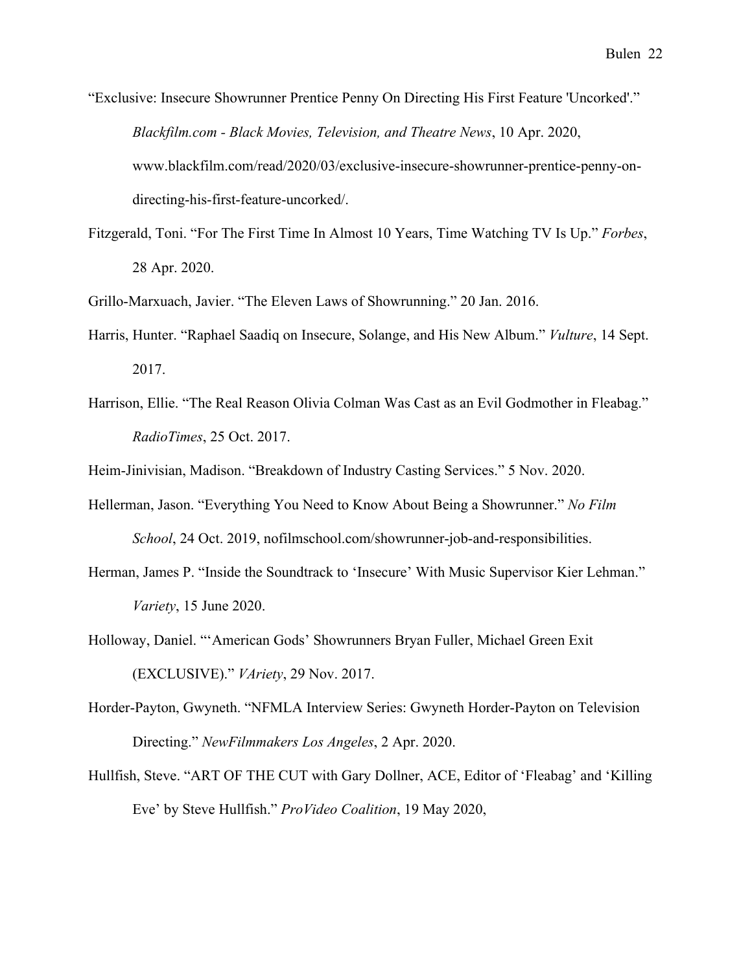- "Exclusive: Insecure Showrunner Prentice Penny On Directing His First Feature 'Uncorked'." *Blackfilm.com - Black Movies, Television, and Theatre News*, 10 Apr. 2020, www.blackfilm.com/read/2020/03/exclusive-insecure-showrunner-prentice-penny-ondirecting-his-first-feature-uncorked/.
- Fitzgerald, Toni. "For The First Time In Almost 10 Years, Time Watching TV Is Up." *Forbes*, 28 Apr. 2020.

Grillo-Marxuach, Javier. "The Eleven Laws of Showrunning." 20 Jan. 2016.

- Harris, Hunter. "Raphael Saadiq on Insecure, Solange, and His New Album." *Vulture*, 14 Sept. 2017.
- Harrison, Ellie. "The Real Reason Olivia Colman Was Cast as an Evil Godmother in Fleabag." *RadioTimes*, 25 Oct. 2017.

Heim-Jinivisian, Madison. "Breakdown of Industry Casting Services." 5 Nov. 2020.

- Hellerman, Jason. "Everything You Need to Know About Being a Showrunner." *No Film School*, 24 Oct. 2019, nofilmschool.com/showrunner-job-and-responsibilities.
- Herman, James P. "Inside the Soundtrack to 'Insecure' With Music Supervisor Kier Lehman." *Variety*, 15 June 2020.
- Holloway, Daniel. "'American Gods' Showrunners Bryan Fuller, Michael Green Exit (EXCLUSIVE)." *VAriety*, 29 Nov. 2017.
- Horder-Payton, Gwyneth. "NFMLA Interview Series: Gwyneth Horder-Payton on Television Directing." *NewFilmmakers Los Angeles*, 2 Apr. 2020.
- Hullfish, Steve. "ART OF THE CUT with Gary Dollner, ACE, Editor of 'Fleabag' and 'Killing Eve' by Steve Hullfish." *ProVideo Coalition*, 19 May 2020,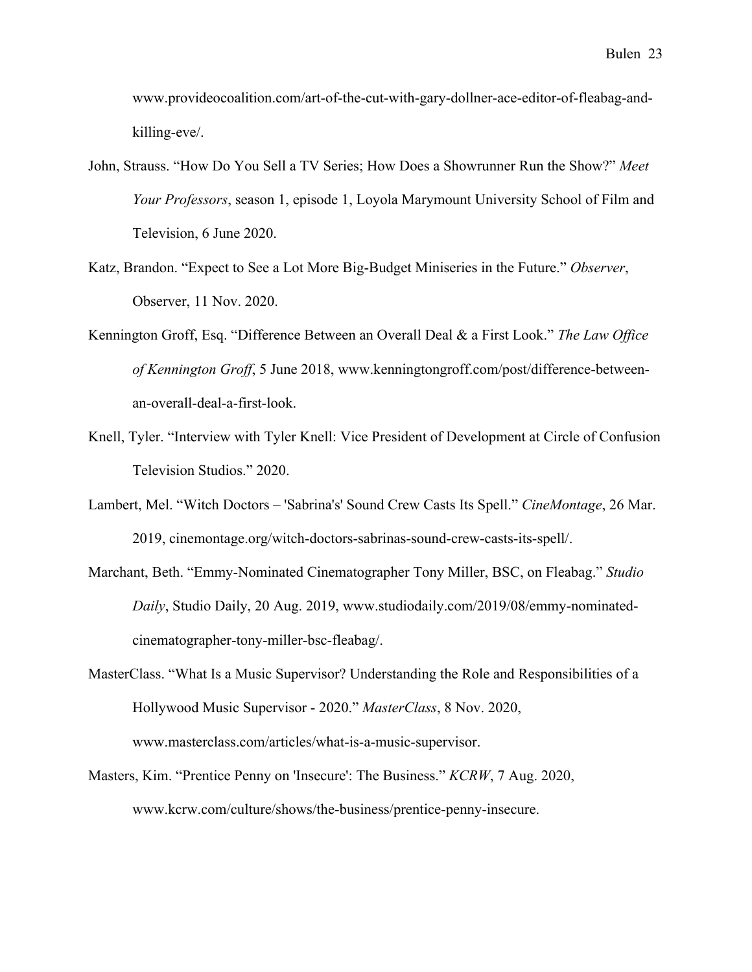www.provideocoalition.com/art-of-the-cut-with-gary-dollner-ace-editor-of-fleabag-andkilling-eve/.

- John, Strauss. "How Do You Sell a TV Series; How Does a Showrunner Run the Show?" *Meet Your Professors*, season 1, episode 1, Loyola Marymount University School of Film and Television, 6 June 2020.
- Katz, Brandon. "Expect to See a Lot More Big-Budget Miniseries in the Future." *Observer*, Observer, 11 Nov. 2020.
- Kennington Groff, Esq. "Difference Between an Overall Deal & a First Look." *The Law Office of Kennington Groff*, 5 June 2018, www.kenningtongroff.com/post/difference-betweenan-overall-deal-a-first-look.
- Knell, Tyler. "Interview with Tyler Knell: Vice President of Development at Circle of Confusion Television Studios." 2020.
- Lambert, Mel. "Witch Doctors 'Sabrina's' Sound Crew Casts Its Spell." *CineMontage*, 26 Mar. 2019, cinemontage.org/witch-doctors-sabrinas-sound-crew-casts-its-spell/.
- Marchant, Beth. "Emmy-Nominated Cinematographer Tony Miller, BSC, on Fleabag." *Studio Daily*, Studio Daily, 20 Aug. 2019, www.studiodaily.com/2019/08/emmy-nominatedcinematographer-tony-miller-bsc-fleabag/.
- MasterClass. "What Is a Music Supervisor? Understanding the Role and Responsibilities of a Hollywood Music Supervisor - 2020." *MasterClass*, 8 Nov. 2020, www.masterclass.com/articles/what-is-a-music-supervisor.
- Masters, Kim. "Prentice Penny on 'Insecure': The Business." *KCRW*, 7 Aug. 2020, www.kcrw.com/culture/shows/the-business/prentice-penny-insecure.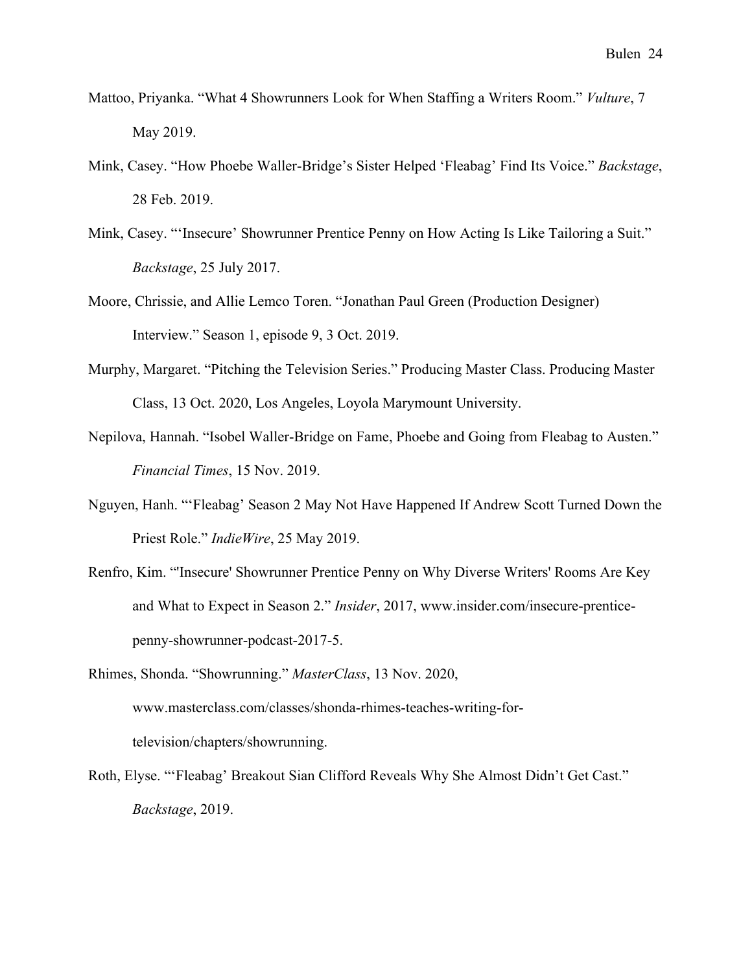- Mattoo, Priyanka. "What 4 Showrunners Look for When Staffing a Writers Room." *Vulture*, 7 May 2019.
- Mink, Casey. "How Phoebe Waller-Bridge's Sister Helped 'Fleabag' Find Its Voice." *Backstage*, 28 Feb. 2019.
- Mink, Casey. "'Insecure' Showrunner Prentice Penny on How Acting Is Like Tailoring a Suit." *Backstage*, 25 July 2017.
- Moore, Chrissie, and Allie Lemco Toren. "Jonathan Paul Green (Production Designer) Interview." Season 1, episode 9, 3 Oct. 2019.
- Murphy, Margaret. "Pitching the Television Series." Producing Master Class. Producing Master Class, 13 Oct. 2020, Los Angeles, Loyola Marymount University.
- Nepilova, Hannah. "Isobel Waller-Bridge on Fame, Phoebe and Going from Fleabag to Austen." *Financial Times*, 15 Nov. 2019.
- Nguyen, Hanh. "'Fleabag' Season 2 May Not Have Happened If Andrew Scott Turned Down the Priest Role." *IndieWire*, 25 May 2019.
- Renfro, Kim. "'Insecure' Showrunner Prentice Penny on Why Diverse Writers' Rooms Are Key and What to Expect in Season 2." *Insider*, 2017, www.insider.com/insecure-prenticepenny-showrunner-podcast-2017-5.
- Rhimes, Shonda. "Showrunning." *MasterClass*, 13 Nov. 2020, www.masterclass.com/classes/shonda-rhimes-teaches-writing-fortelevision/chapters/showrunning.
- Roth, Elyse. "'Fleabag' Breakout Sian Clifford Reveals Why She Almost Didn't Get Cast." *Backstage*, 2019.